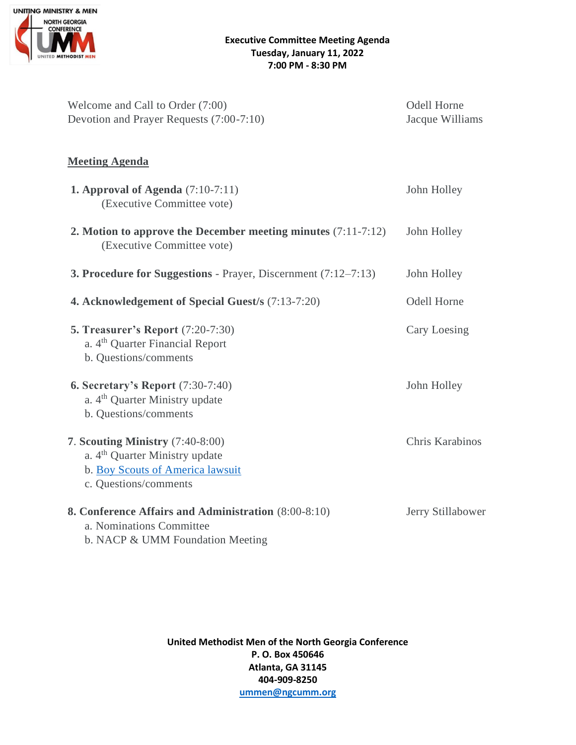

| Welcome and Call to Order (7:00)<br>Devotion and Prayer Requests (7:00-7:10)                                                                | <b>Odell Horne</b><br>Jacque Williams |
|---------------------------------------------------------------------------------------------------------------------------------------------|---------------------------------------|
| <b>Meeting Agenda</b>                                                                                                                       |                                       |
| <b>1. Approval of Agenda</b> $(7:10-7:11)$<br>(Executive Committee vote)                                                                    | John Holley                           |
| 2. Motion to approve the December meeting minutes $(7:11-7:12)$<br>(Executive Committee vote)                                               | John Holley                           |
| <b>3. Procedure for Suggestions</b> - Prayer, Discernment $(7:12-7:13)$                                                                     | John Holley                           |
| 4. Acknowledgement of Special Guest/s (7:13-7:20)                                                                                           | <b>Odell Horne</b>                    |
| <b>5. Treasurer's Report (7:20-7:30)</b><br>a. 4 <sup>th</sup> Quarter Financial Report<br>b. Questions/comments                            | Cary Loesing                          |
| <b>6. Secretary's Report</b> (7:30-7:40)<br>a. 4 <sup>th</sup> Quarter Ministry update<br>b. Questions/comments                             | John Holley                           |
| 7. Scouting Ministry (7:40-8:00)<br>a. 4 <sup>th</sup> Quarter Ministry update<br>b. Boy Scouts of America lawsuit<br>c. Questions/comments | Chris Karabinos                       |
| 8. Conference Affairs and Administration (8:00-8:10)<br>a. Nominations Committee<br>b. NACP & UMM Foundation Meeting                        | Jerry Stillabower                     |

**United Methodist Men of the North Georgia Conference P. O. Box 450646 Atlanta, GA 31145 404-909-8250 [ummen@ngcumm.org](mailto:ummen@ngcumm.org)**